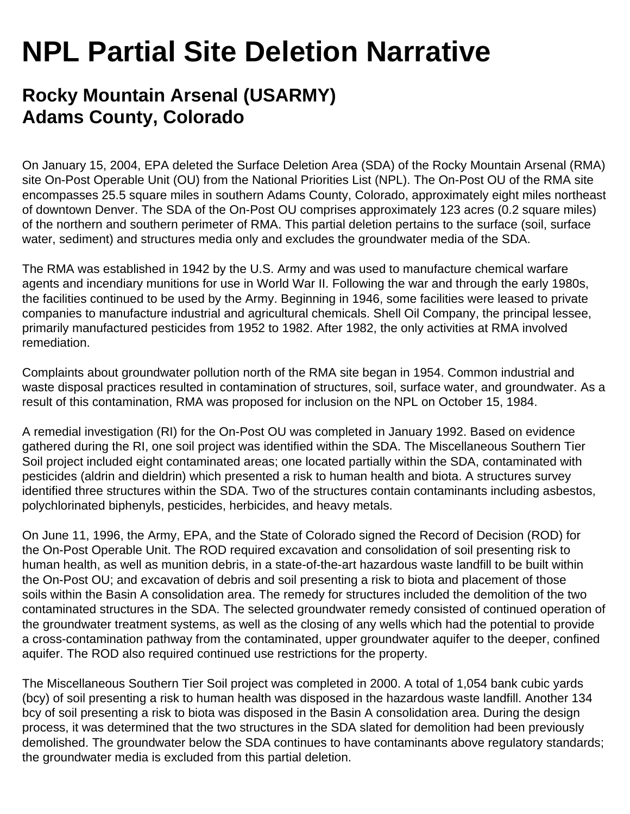## **NPL Partial Site Deletion Narrative**

## **Rocky Mountain Arsenal (USARMY) Adams County, Colorado**

On January 15, 2004, EPA deleted the Surface Deletion Area (SDA) of the Rocky Mountain Arsenal (RMA) site On-Post Operable Unit (OU) from the National Priorities List (NPL). The On-Post OU of the RMA site encompasses 25.5 square miles in southern Adams County, Colorado, approximately eight miles northeast of downtown Denver. The SDA of the On-Post OU comprises approximately 123 acres (0.2 square miles) of the northern and southern perimeter of RMA. This partial deletion pertains to the surface (soil, surface water, sediment) and structures media only and excludes the groundwater media of the SDA.

The RMA was established in 1942 by the U.S. Army and was used to manufacture chemical warfare agents and incendiary munitions for use in World War II. Following the war and through the early 1980s, the facilities continued to be used by the Army. Beginning in 1946, some facilities were leased to private companies to manufacture industrial and agricultural chemicals. Shell Oil Company, the principal lessee, primarily manufactured pesticides from 1952 to 1982. After 1982, the only activities at RMA involved remediation.

Complaints about groundwater pollution north of the RMA site began in 1954. Common industrial and waste disposal practices resulted in contamination of structures, soil, surface water, and groundwater. As a result of this contamination, RMA was proposed for inclusion on the NPL on October 15, 1984.

A remedial investigation (RI) for the On-Post OU was completed in January 1992. Based on evidence gathered during the RI, one soil project was identified within the SDA. The Miscellaneous Southern Tier Soil project included eight contaminated areas; one located partially within the SDA, contaminated with pesticides (aldrin and dieldrin) which presented a risk to human health and biota. A structures survey identified three structures within the SDA. Two of the structures contain contaminants including asbestos, polychlorinated biphenyls, pesticides, herbicides, and heavy metals.

On June 11, 1996, the Army, EPA, and the State of Colorado signed the Record of Decision (ROD) for the On-Post Operable Unit. The ROD required excavation and consolidation of soil presenting risk to human health, as well as munition debris, in a state-of-the-art hazardous waste landfill to be built within the On-Post OU; and excavation of debris and soil presenting a risk to biota and placement of those soils within the Basin A consolidation area. The remedy for structures included the demolition of the two contaminated structures in the SDA. The selected groundwater remedy consisted of continued operation of the groundwater treatment systems, as well as the closing of any wells which had the potential to provide a cross-contamination pathway from the contaminated, upper groundwater aquifer to the deeper, confined aquifer. The ROD also required continued use restrictions for the property.

The Miscellaneous Southern Tier Soil project was completed in 2000. A total of 1,054 bank cubic yards (bcy) of soil presenting a risk to human health was disposed in the hazardous waste landfill. Another 134 bcy of soil presenting a risk to biota was disposed in the Basin A consolidation area. During the design process, it was determined that the two structures in the SDA slated for demolition had been previously demolished. The groundwater below the SDA continues to have contaminants above regulatory standards; the groundwater media is excluded from this partial deletion.